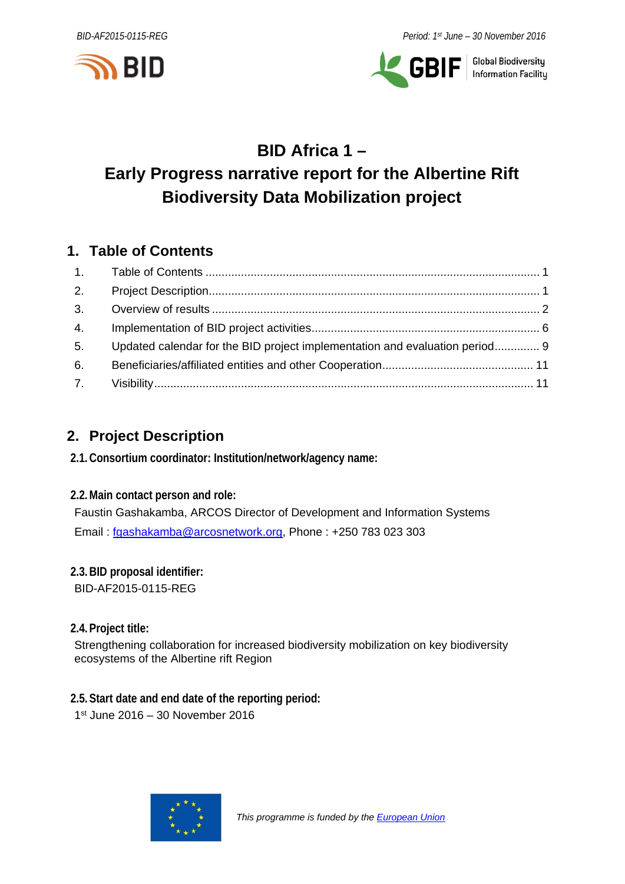



**GBIF** | Global Biodiversity

# **BID Africa 1 – Early Progress narrative report for the Albertine Rift Biodiversity Data Mobilization project**

## <span id="page-0-0"></span>**1. Table of Contents**

| 2. |                                                                             |  |
|----|-----------------------------------------------------------------------------|--|
| 3. |                                                                             |  |
| 4. |                                                                             |  |
| 5. | Updated calendar for the BID project implementation and evaluation period 9 |  |
| 6. |                                                                             |  |
|    |                                                                             |  |

# <span id="page-0-1"></span>**2. Project Description**

**2.1.Consortium coordinator: Institution/network/agency name:**

**2.2.Main contact person and role:**

Faustin Gashakamba, ARCOS Director of Development and Information Systems Email : [fgashakamba@arcosnetwork.org,](mailto:fgashakamba@arcosnetwork.org) Phone : +250 783 023 303

**2.3.BID proposal identifier:** BID-AF2015-0115-REG

**2.4.Project title:**

Strengthening collaboration for increased biodiversity mobilization on key biodiversity ecosystems of the Albertine rift Region

**2.5.Start date and end date of the reporting period:** 1st June 2016 – 30 November 2016

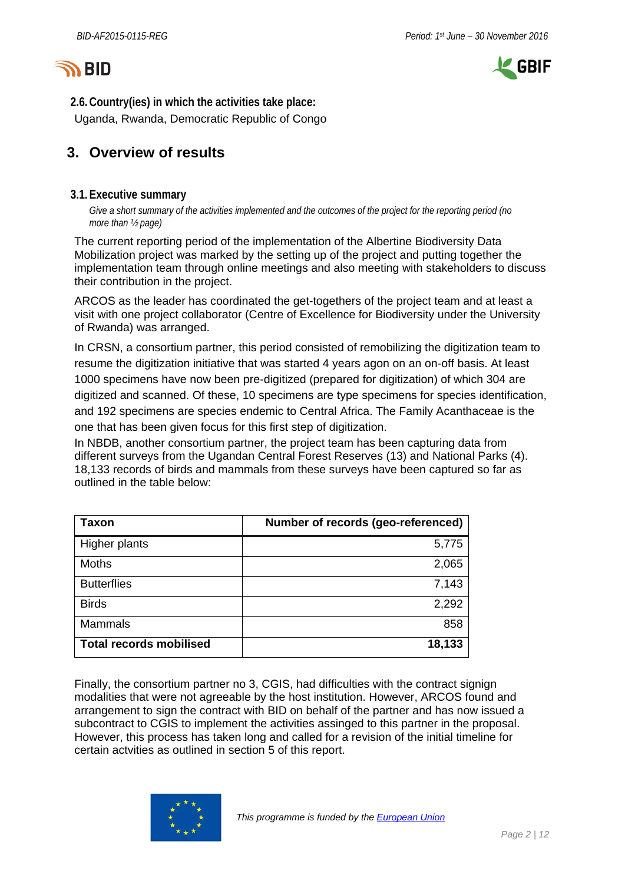



**2.6.Country(ies) in which the activities take place:** Uganda, Rwanda, Democratic Republic of Congo

## <span id="page-1-0"></span>**3. Overview of results**

#### **3.1.Executive summary**

*Give a short summary of the activities implemented and the outcomes of the project for the reporting period (no more than ½ page)*

The current reporting period of the implementation of the Albertine Biodiversity Data Mobilization project was marked by the setting up of the project and putting together the implementation team through online meetings and also meeting with stakeholders to discuss their contribution in the project.

ARCOS as the leader has coordinated the get-togethers of the project team and at least a visit with one project collaborator (Centre of Excellence for Biodiversity under the University of Rwanda) was arranged.

In CRSN, a consortium partner, this period consisted of remobilizing the digitization team to resume the digitization initiative that was started 4 years agon on an on-off basis. At least 1000 specimens have now been pre-digitized (prepared for digitization) of which 304 are digitized and scanned. Of these, 10 specimens are type specimens for species identification, and 192 specimens are species endemic to Central Africa. The Family Acanthaceae is the one that has been given focus for this first step of digitization.

In NBDB, another consortium partner, the project team has been capturing data from different surveys from the Ugandan Central Forest Reserves (13) and National Parks (4). 18,133 records of birds and mammals from these surveys have been captured so far as outlined in the table below:

| <b>Taxon</b>                   | Number of records (geo-referenced) |
|--------------------------------|------------------------------------|
| Higher plants                  | 5,775                              |
| Moths                          | 2,065                              |
| <b>Butterflies</b>             | 7,143                              |
| <b>Birds</b>                   | 2,292                              |
| <b>Mammals</b>                 | 858                                |
| <b>Total records mobilised</b> | 18,133                             |

Finally, the consortium partner no 3, CGIS, had difficulties with the contract signign modalities that were not agreeable by the host institution. However, ARCOS found and arrangement to sign the contract with BID on behalf of the partner and has now issued a subcontract to CGIS to implement the activities assinged to this partner in the proposal. However, this process has taken long and called for a revision of the initial timeline for certain actvities as outlined in section 5 of this report.

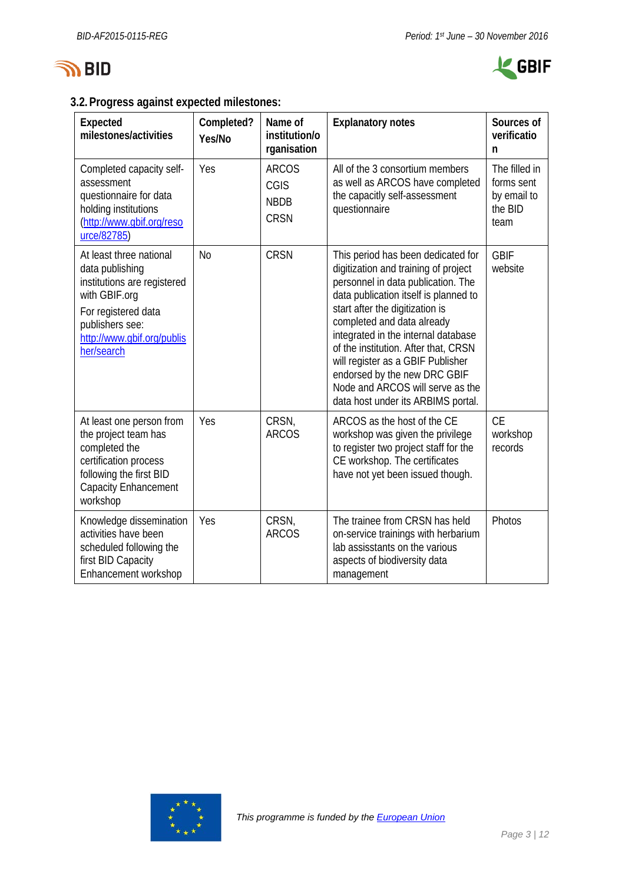



### **3.2.Progress against expected milestones:**

| Expected<br>milestones/activities                                                                                                                                                | Completed?<br>Yes/No | Name of<br>institution/o<br>rganisation            | <b>Explanatory notes</b>                                                                                                                                                                                                                                                                                                                                                                                                                                 | Sources of<br>verificatio<br>n                                |
|----------------------------------------------------------------------------------------------------------------------------------------------------------------------------------|----------------------|----------------------------------------------------|----------------------------------------------------------------------------------------------------------------------------------------------------------------------------------------------------------------------------------------------------------------------------------------------------------------------------------------------------------------------------------------------------------------------------------------------------------|---------------------------------------------------------------|
| Completed capacity self-<br>assessment<br>questionnaire for data<br>holding institutions<br>(http://www.gbif.org/reso<br>urce/82785)                                             | Yes                  | <b>ARCOS</b><br>CGIS<br><b>NBDB</b><br><b>CRSN</b> | All of the 3 consortium members<br>as well as ARCOS have completed<br>the capacitly self-assessment<br>questionnaire                                                                                                                                                                                                                                                                                                                                     | The filled in<br>forms sent<br>by email to<br>the BID<br>team |
| At least three national<br>data publishing<br>institutions are registered<br>with GBIF.org<br>For registered data<br>publishers see:<br>http://www.gbif.org/publis<br>her/search | <b>No</b>            | <b>CRSN</b>                                        | This period has been dedicated for<br>digitization and training of project<br>personnel in data publication. The<br>data publication itself is planned to<br>start after the digitization is<br>completed and data already<br>integrated in the internal database<br>of the institution. After that, CRSN<br>will register as a GBIF Publisher<br>endorsed by the new DRC GBIF<br>Node and ARCOS will serve as the<br>data host under its ARBIMS portal. | <b>GBIF</b><br>website                                        |
| At least one person from<br>the project team has<br>completed the<br>certification process<br>following the first BID<br><b>Capacity Enhancement</b><br>workshop                 | Yes                  | CRSN,<br><b>ARCOS</b>                              | ARCOS as the host of the CE<br>workshop was given the privilege<br>to register two project staff for the<br>CE workshop. The certificates<br>have not yet been issued though.                                                                                                                                                                                                                                                                            | <b>CE</b><br>workshop<br>records                              |
| Knowledge dissemination<br>activities have been<br>scheduled following the<br>first BID Capacity<br>Enhancement workshop                                                         | Yes                  | CRSN,<br><b>ARCOS</b>                              | The trainee from CRSN has held<br>on-service trainings with herbarium<br>lab assisstants on the various<br>aspects of biodiversity data<br>management                                                                                                                                                                                                                                                                                                    | Photos                                                        |

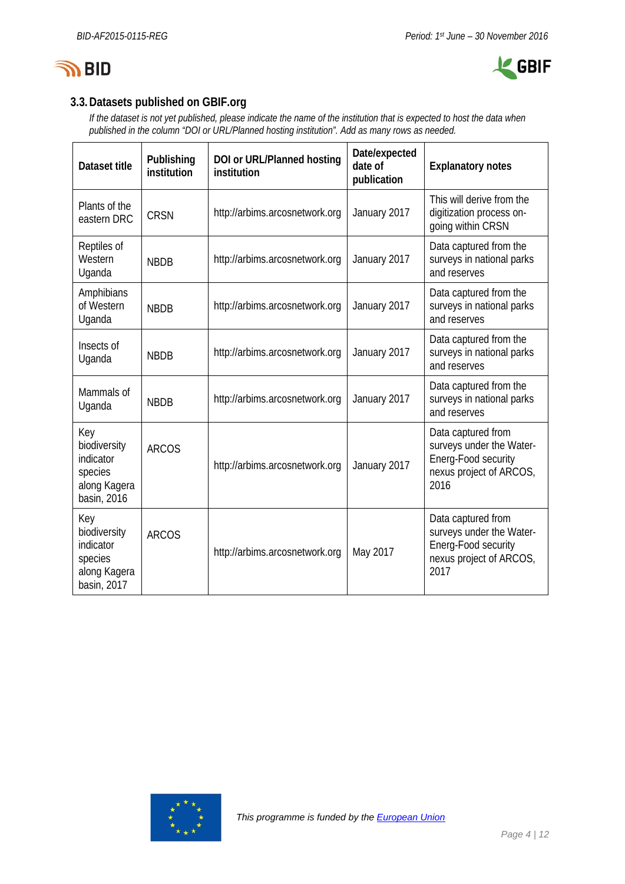



## **3.3.Datasets published on GBIF.org**

*If the dataset is not yet published, please indicate the name of the institution that is expected to host the data when published in the column "DOI or URL/Planned hosting institution". Add as many rows as needed.*

| Dataset title                                                              | Publishing<br>institution | DOI or URL/Planned hosting<br>institution | Date/expected<br>date of<br>publication | <b>Explanatory notes</b>                                                                                 |
|----------------------------------------------------------------------------|---------------------------|-------------------------------------------|-----------------------------------------|----------------------------------------------------------------------------------------------------------|
| Plants of the<br>eastern DRC                                               | <b>CRSN</b>               | http://arbims.arcosnetwork.org            | January 2017                            | This will derive from the<br>digitization process on-<br>going within CRSN                               |
| Reptiles of<br>Western<br>Uganda                                           | <b>NBDB</b>               | http://arbims.arcosnetwork.org            | January 2017                            | Data captured from the<br>surveys in national parks<br>and reserves                                      |
| Amphibians<br>of Western<br>Uganda                                         | <b>NBDB</b>               | http://arbims.arcosnetwork.org            | January 2017                            | Data captured from the<br>surveys in national parks<br>and reserves                                      |
| Insects of<br>Uganda                                                       | <b>NBDB</b>               | http://arbims.arcosnetwork.org            | January 2017                            | Data captured from the<br>surveys in national parks<br>and reserves                                      |
| Mammals of<br>Uganda                                                       | <b>NBDB</b>               | http://arbims.arcosnetwork.org            | January 2017                            | Data captured from the<br>surveys in national parks<br>and reserves                                      |
| Key<br>biodiversity<br>indicator<br>species<br>along Kagera<br>basin, 2016 | <b>ARCOS</b>              | http://arbims.arcosnetwork.org            | January 2017                            | Data captured from<br>surveys under the Water-<br>Energ-Food security<br>nexus project of ARCOS,<br>2016 |
| Key<br>biodiversity<br>indicator<br>species<br>along Kagera<br>basin, 2017 | <b>ARCOS</b>              | http://arbims.arcosnetwork.org            | May 2017                                | Data captured from<br>surveys under the Water-<br>Energ-Food security<br>nexus project of ARCOS,<br>2017 |

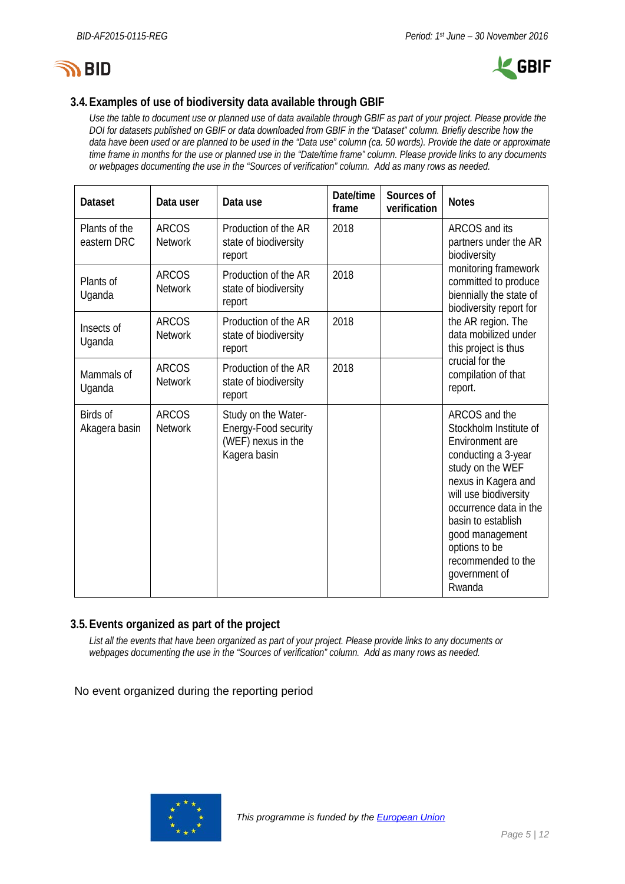



### **3.4.Examples of use of biodiversity data available through GBIF**

*Use the table to document use or planned use of data available through GBIF as part of your project. Please provide the DOI for datasets published on GBIF or data downloaded from GBIF in the "Dataset" column. Briefly describe how the data have been used or are planned to be used in the "Data use" column (ca. 50 words). Provide the date or approximate time frame in months for the use or planned use in the "Date/time frame" column. Please provide links to any documents or webpages documenting the use in the "Sources of verification" column. Add as many rows as needed.*

| <b>Dataset</b>                   | Data user                      | Data use                                                                          | Date/time<br>frame                                                                                 | Sources of<br>verification | <b>Notes</b>                                                                                                                                                                                                                                                                               |  |  |  |
|----------------------------------|--------------------------------|-----------------------------------------------------------------------------------|----------------------------------------------------------------------------------------------------|----------------------------|--------------------------------------------------------------------------------------------------------------------------------------------------------------------------------------------------------------------------------------------------------------------------------------------|--|--|--|
| Plants of the<br>eastern DRC     | <b>ARCOS</b><br><b>Network</b> | Production of the AR<br>state of biodiversity<br>report                           | ARCOS and its<br>partners under the AR<br>biodiversity                                             |                            |                                                                                                                                                                                                                                                                                            |  |  |  |
| Plants of<br>Uganda              | <b>ARCOS</b><br><b>Network</b> | Production of the AR<br>state of biodiversity<br>report                           | monitoring framework<br>committed to produce<br>biennially the state of<br>biodiversity report for |                            |                                                                                                                                                                                                                                                                                            |  |  |  |
| Insects of<br>Uganda             | <b>ARCOS</b><br><b>Network</b> | Production of the AR<br>state of biodiversity<br>report                           | the AR region. The<br>data mobilized under<br>this project is thus                                 |                            |                                                                                                                                                                                                                                                                                            |  |  |  |
| Mammals of<br>Uganda             | <b>ARCOS</b><br><b>Network</b> | Production of the AR<br>state of biodiversity<br>report                           | 2018                                                                                               |                            | crucial for the<br>compilation of that<br>report.                                                                                                                                                                                                                                          |  |  |  |
| <b>Birds of</b><br>Akagera basin | <b>ARCOS</b><br><b>Network</b> | Study on the Water-<br>Energy-Food security<br>(WEF) nexus in the<br>Kagera basin |                                                                                                    |                            | ARCOS and the<br>Stockholm Institute of<br>Environment are<br>conducting a 3-year<br>study on the WEF<br>nexus in Kagera and<br>will use biodiversity<br>occurrence data in the<br>basin to establish<br>good management<br>options to be<br>recommended to the<br>government of<br>Rwanda |  |  |  |

#### **3.5.Events organized as part of the project**

*List all the events that have been organized as part of your project. Please provide links to any documents or webpages documenting the use in the "Sources of verification" column. Add as many rows as needed.*

No event organized during the reporting period

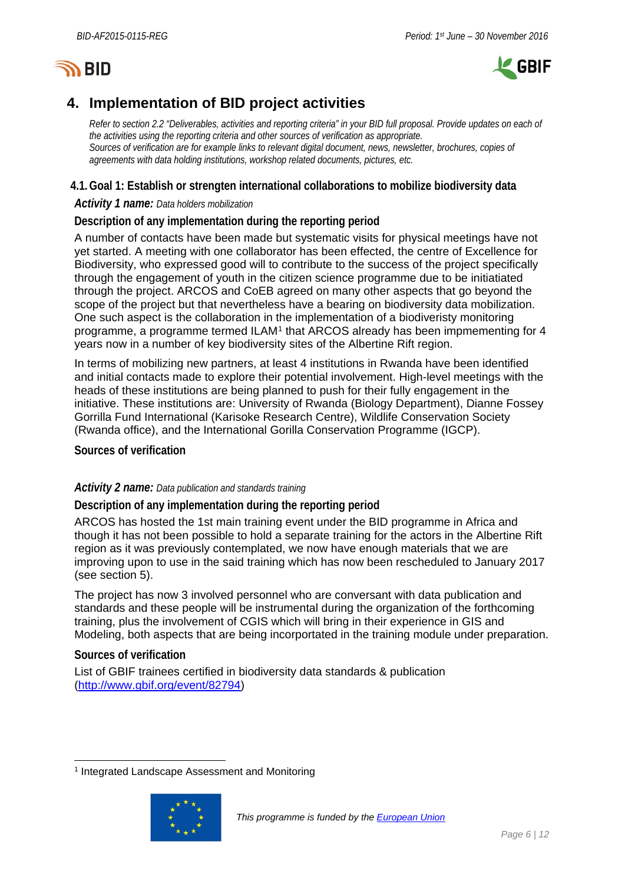# **SY BID**



# <span id="page-5-0"></span>**4. Implementation of BID project activities**

*Refer to section 2.2 "Deliverables, activities and reporting criteria" in your BID full proposal. Provide updates on each of the activities using the reporting criteria and other sources of verification as appropriate. Sources of verification are for example links to relevant digital document, news, newsletter, brochures, copies of agreements with data holding institutions, workshop related documents, pictures, etc.*

### **4.1.Goal 1: Establish or strengten international collaborations to mobilize biodiversity data**

#### *Activity 1 name: Data holders mobilization*

### **Description of any implementation during the reporting period**

A number of contacts have been made but systematic visits for physical meetings have not yet started. A meeting with one collaborator has been effected, the centre of Excellence for Biodiversity, who expressed good will to contribute to the success of the project specifically through the engagement of youth in the citizen science programme due to be initiatiated through the project. ARCOS and CoEB agreed on many other aspects that go beyond the scope of the project but that nevertheless have a bearing on biodiversity data mobilization. One such aspect is the collaboration in the implementation of a biodiveristy monitoring programme, a programme termed ILAM<sup>[1](#page-5-1)</sup> that ARCOS already has been impmementing for 4 years now in a number of key biodiversity sites of the Albertine Rift region.

In terms of mobilizing new partners, at least 4 institutions in Rwanda have been identified and initial contacts made to explore their potential involvement. High-level meetings with the heads of these institutions are being planned to push for their fully engagement in the initiative. These institutions are: University of Rwanda (Biology Department), Dianne Fossey Gorrilla Fund International (Karisoke Research Centre), Wildlife Conservation Society (Rwanda office), and the International Gorilla Conservation Programme (IGCP).

**Sources of verification**

#### *Activity 2 name: Data publication and standards training*

**Description of any implementation during the reporting period**

ARCOS has hosted the 1st main training event under the BID programme in Africa and though it has not been possible to hold a separate training for the actors in the Albertine Rift region as it was previously contemplated, we now have enough materials that we are improving upon to use in the said training which has now been rescheduled to January 2017 (see section 5).

The project has now 3 involved personnel who are conversant with data publication and standards and these people will be instrumental during the organization of the forthcoming training, plus the involvement of CGIS which will bring in their experience in GIS and Modeling, both aspects that are being incorportated in the training module under preparation.

#### **Sources of verification**

List of GBIF trainees certified in biodiversity data standards & publication [\(http://www.gbif.org/event/82794\)](http://www.gbif.org/event/82794)

<span id="page-5-1"></span><sup>&</sup>lt;sup>1</sup> Integrated Landscape Assessment and Monitoring

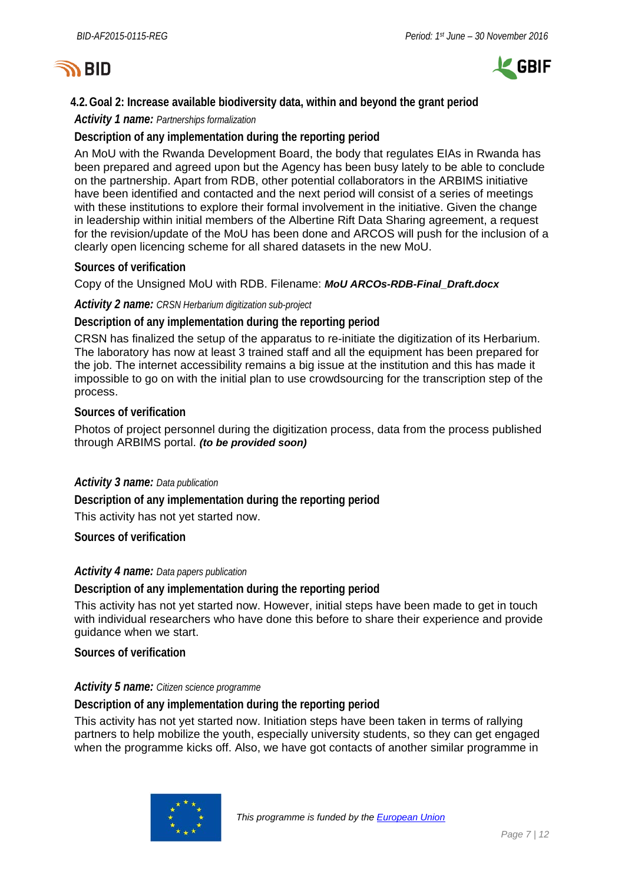



### **4.2.Goal 2: Increase available biodiversity data, within and beyond the grant period**

*Activity 1 name: Partnerships formalization*

#### **Description of any implementation during the reporting period**

An MoU with the Rwanda Development Board, the body that regulates EIAs in Rwanda has been prepared and agreed upon but the Agency has been busy lately to be able to conclude on the partnership. Apart from RDB, other potential collaborators in the ARBIMS initiative have been identified and contacted and the next period will consist of a series of meetings with these institutions to explore their formal involvement in the initiative. Given the change in leadership within initial members of the Albertine Rift Data Sharing agreement, a request for the revision/update of the MoU has been done and ARCOS will push for the inclusion of a clearly open licencing scheme for all shared datasets in the new MoU.

#### **Sources of verification**

Copy of the Unsigned MoU with RDB. Filename: *MoU ARCOs-RDB-Final\_Draft.docx*

#### *Activity 2 name: CRSN Herbarium digitization sub-project*

**Description of any implementation during the reporting period**

CRSN has finalized the setup of the apparatus to re-initiate the digitization of its Herbarium. The laboratory has now at least 3 trained staff and all the equipment has been prepared for the job. The internet accessibility remains a big issue at the institution and this has made it impossible to go on with the initial plan to use crowdsourcing for the transcription step of the process.

#### **Sources of verification**

Photos of project personnel during the digitization process, data from the process published through ARBIMS portal. *(to be provided soon)*

#### *Activity 3 name: Data publication*

**Description of any implementation during the reporting period**

This activity has not yet started now.

**Sources of verification**

#### *Activity 4 name: Data papers publication*

**Description of any implementation during the reporting period**

This activity has not yet started now. However, initial steps have been made to get in touch with individual researchers who have done this before to share their experience and provide guidance when we start.

**Sources of verification**

#### *Activity 5 name: Citizen science programme*

**Description of any implementation during the reporting period**

This activity has not yet started now. Initiation steps have been taken in terms of rallying partners to help mobilize the youth, especially university students, so they can get engaged when the programme kicks off. Also, we have got contacts of another similar programme in

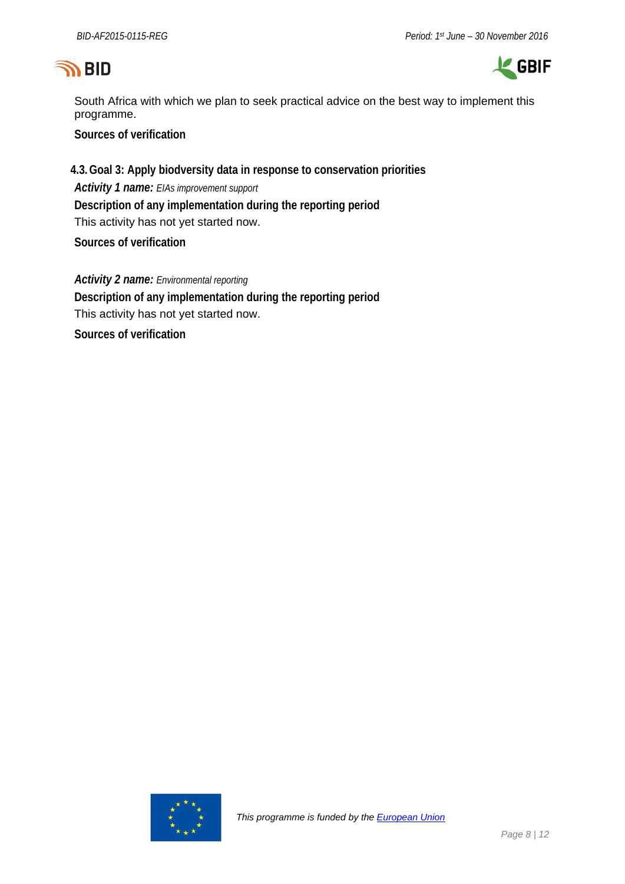# **SO BID**



South Africa with which we plan to seek practical advice on the best way to implement this programme.

**Sources of verification**

**4.3.Goal 3: Apply biodversity data in response to conservation priorities** *Activity 1 name: EIAs improvement support* **Description of any implementation during the reporting period** This activity has not yet started now.

**Sources of verification**

*Activity 2 name: Environmental reporting* **Description of any implementation during the reporting period** This activity has not yet started now.

**Sources of verification**

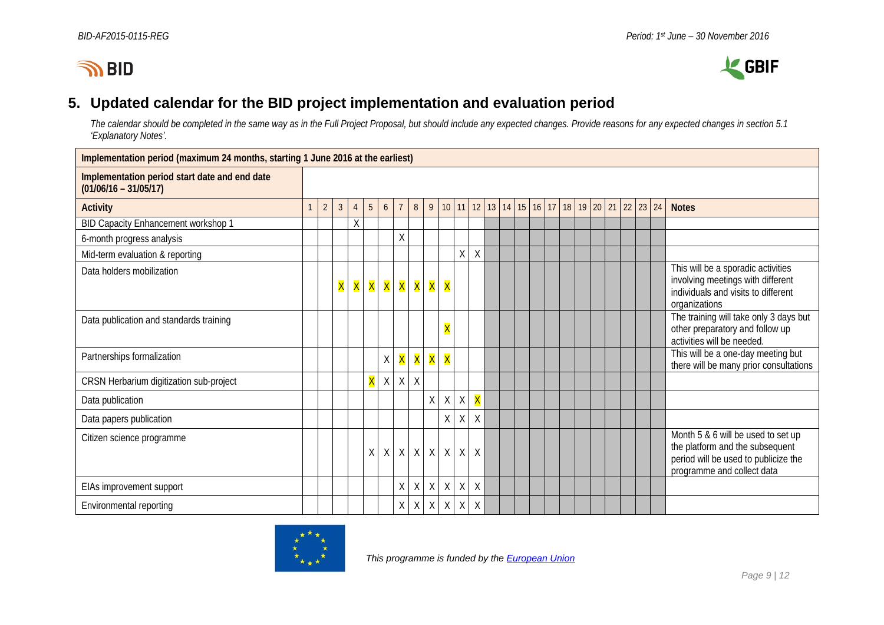



## **5. Updated calendar for the BID project implementation and evaluation period**

*The calendar should be completed in the same way as in the Full Project Proposal, but should include any expected changes. Provide reasons for any expected changes in section 5.1 'Explanatory Notes'.*

<span id="page-8-0"></span>

| Implementation period (maximum 24 months, starting 1 June 2016 at the earliest) |              |                |                |                |                |                 |                |                |              |                         |             |                         |  |  |  |  |  |  |                                                |                                                                                                                                             |
|---------------------------------------------------------------------------------|--------------|----------------|----------------|----------------|----------------|-----------------|----------------|----------------|--------------|-------------------------|-------------|-------------------------|--|--|--|--|--|--|------------------------------------------------|---------------------------------------------------------------------------------------------------------------------------------------------|
| Implementation period start date and end date<br>$(01/06/16 - 31/05/17)$        |              |                |                |                |                |                 |                |                |              |                         |             |                         |  |  |  |  |  |  |                                                |                                                                                                                                             |
| <b>Activity</b>                                                                 | $\mathbf{1}$ | $\overline{2}$ | 3 <sup>1</sup> | $\overline{4}$ | 5 <sup>5</sup> | $6\overline{6}$ | $\overline{7}$ | 8 <sup>°</sup> |              |                         |             |                         |  |  |  |  |  |  | 9 10 11 12 13 14 15 16 17 18 19 20 21 22 23 24 | <b>Notes</b>                                                                                                                                |
| BID Capacity Enhancement workshop 1                                             |              |                |                | Χ              |                |                 |                |                |              |                         |             |                         |  |  |  |  |  |  |                                                |                                                                                                                                             |
| 6-month progress analysis                                                       |              |                |                |                |                |                 | Χ              |                |              |                         |             |                         |  |  |  |  |  |  |                                                |                                                                                                                                             |
| Mid-term evaluation & reporting                                                 |              |                |                |                |                |                 |                |                |              |                         | Χ           | $\sf X$                 |  |  |  |  |  |  |                                                |                                                                                                                                             |
| Data holders mobilization                                                       |              |                | X              | <b>X</b>       | <b>X</b>       |                 |                | X X X X        |              | X                       |             |                         |  |  |  |  |  |  |                                                | This will be a sporadic activities<br>involving meetings with different<br>individuals and visits to different<br>organizations             |
| Data publication and standards training                                         |              |                |                |                |                |                 |                |                |              | $\overline{\mathsf{X}}$ |             |                         |  |  |  |  |  |  |                                                | The training will take only 3 days but<br>other preparatory and follow up<br>activities will be needed.                                     |
| Partnerships formalization                                                      |              |                |                |                |                | Χ               | X              | X              | X            | X                       |             |                         |  |  |  |  |  |  |                                                | This will be a one-day meeting but<br>there will be many prior consultations                                                                |
| CRSN Herbarium digitization sub-project                                         |              |                |                |                | X              | X               | X              | $\sf X$        |              |                         |             |                         |  |  |  |  |  |  |                                                |                                                                                                                                             |
| Data publication                                                                |              |                |                |                |                |                 |                |                | $\mathsf{X}$ | $\mathsf X$             | $\mathsf X$ | $\overline{\mathsf{X}}$ |  |  |  |  |  |  |                                                |                                                                                                                                             |
| Data papers publication                                                         |              |                |                |                |                |                 |                |                |              | Χ                       | Χ           | $\sf X$                 |  |  |  |  |  |  |                                                |                                                                                                                                             |
| Citizen science programme                                                       |              |                |                |                | X              | X               |                | $X$ $X$        | X            | $\chi$                  | X           | $\chi$                  |  |  |  |  |  |  |                                                | Month 5 & 6 will be used to set up<br>the platform and the subsequent<br>period will be used to publicize the<br>programme and collect data |
| EIAs improvement support                                                        |              |                |                |                |                |                 | X              | $\chi$         | X            | $\mathsf{X}$            | X           | $\chi$                  |  |  |  |  |  |  |                                                |                                                                                                                                             |
| Environmental reporting                                                         |              |                |                |                |                |                 | X              | $\sf X$        | X            | $\chi$                  | $\sf X$     | $\times$                |  |  |  |  |  |  |                                                |                                                                                                                                             |

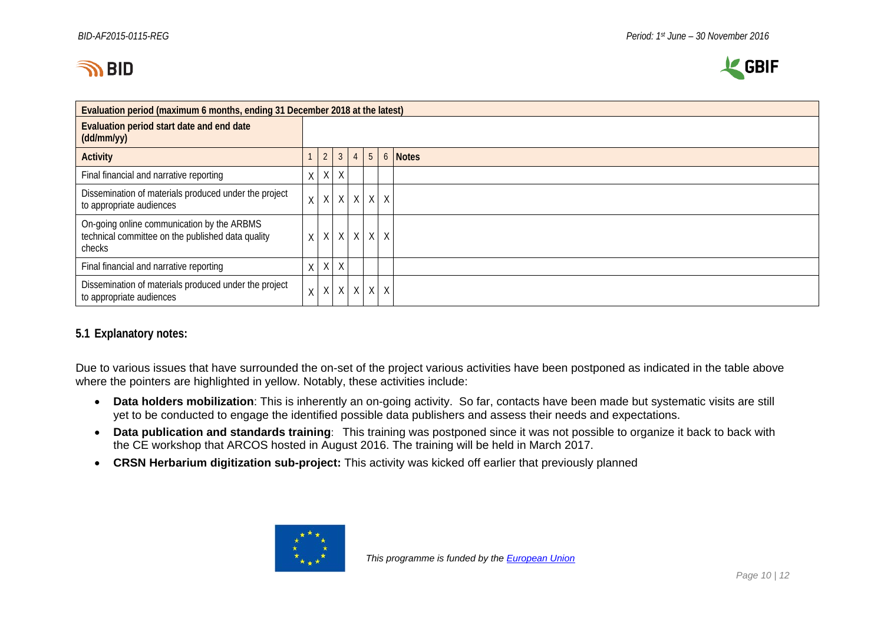



| Evaluation period (maximum 6 months, ending 31 December 2018 at the latest)                               |              |                |                |   |   |        |                              |
|-----------------------------------------------------------------------------------------------------------|--------------|----------------|----------------|---|---|--------|------------------------------|
| Evaluation period start date and end date<br>(dd/mm/yy)                                                   |              |                |                |   |   |        |                              |
| <b>Activity</b>                                                                                           |              | $\overline{2}$ | $\mathfrak{Z}$ |   |   |        | $4 \mid 5 \mid 6 \mid$ Notes |
| Final financial and narrative reporting                                                                   | X            |                | $X$ $X$        |   |   |        |                              |
| Dissemination of materials produced under the project<br>to appropriate audiences                         | $\mathsf{X}$ | X              | X              | X | X | $\chi$ |                              |
| On-going online communication by the ARBMS<br>technical committee on the published data quality<br>checks | $\mathsf{X}$ |                | $X$ $X$ $X$    |   | X | $\chi$ |                              |
| Final financial and narrative reporting                                                                   | X            |                | $X$ $X$        |   |   |        |                              |
| Dissemination of materials produced under the project<br>to appropriate audiences                         | X            | X              | X              | X | X | $\chi$ |                              |

#### **5.1 Explanatory notes:**

Due to various issues that have surrounded the on-set of the project various activities have been postponed as indicated in the table above where the pointers are highlighted in yellow. Notably, these activities include:

- **Data holders mobilization**: This is inherently an on-going activity. So far, contacts have been made but systematic visits are still yet to be conducted to engage the identified possible data publishers and assess their needs and expectations.
- **Data publication and standards training**: This training was postponed since it was not possible to organize it back to back with the CE workshop that ARCOS hosted in August 2016. The training will be held in March 2017.
- **CRSN Herbarium digitization sub-project:** This activity was kicked off earlier that previously planned

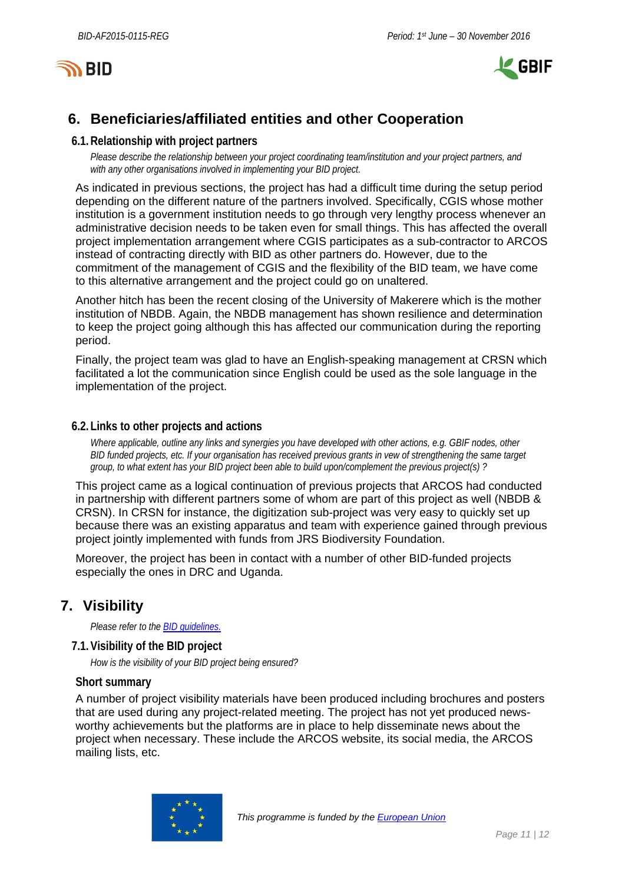



# <span id="page-10-0"></span>**6. Beneficiaries/affiliated entities and other Cooperation**

#### **6.1.Relationship with project partners**

*Please describe the relationship between your project coordinating team/institution and your project partners, and with any other organisations involved in implementing your BID project.*

As indicated in previous sections, the project has had a difficult time during the setup period depending on the different nature of the partners involved. Specifically, CGIS whose mother institution is a government institution needs to go through very lengthy process whenever an administrative decision needs to be taken even for small things. This has affected the overall project implementation arrangement where CGIS participates as a sub-contractor to ARCOS instead of contracting directly with BID as other partners do. However, due to the commitment of the management of CGIS and the flexibility of the BID team, we have come to this alternative arrangement and the project could go on unaltered.

Another hitch has been the recent closing of the University of Makerere which is the mother institution of NBDB. Again, the NBDB management has shown resilience and determination to keep the project going although this has affected our communication during the reporting period.

Finally, the project team was glad to have an English-speaking management at CRSN which facilitated a lot the communication since English could be used as the sole language in the implementation of the project.

#### **6.2. Links to other projects and actions**

*Where applicable, outline any links and synergies you have developed with other actions, e.g. GBIF nodes, other BID funded projects, etc. If your organisation has received previous grants in vew of strengthening the same target group, to what extent has your BID project been able to build upon/complement the previous project(s) ?*

This project came as a logical continuation of previous projects that ARCOS had conducted in partnership with different partners some of whom are part of this project as well (NBDB & CRSN). In CRSN for instance, the digitization sub-project was very easy to quickly set up because there was an existing apparatus and team with experience gained through previous project jointly implemented with funds from JRS Biodiversity Foundation.

Moreover, the project has been in contact with a number of other BID-funded projects especially the ones in DRC and Uganda.

# <span id="page-10-1"></span>**7. Visibility**

*Please refer to th[e BID guidelines.](http://bid.gbif.org/en/community/communication-guidelines/)*

#### **7.1.Visibility of the BID project**

*How is the visibility of your BID project being ensured?*

#### **Short summary**

A number of project visibility materials have been produced including brochures and posters that are used during any project-related meeting. The project has not yet produced newsworthy achievements but the platforms are in place to help disseminate news about the project when necessary. These include the ARCOS website, its social media, the ARCOS mailing lists, etc.